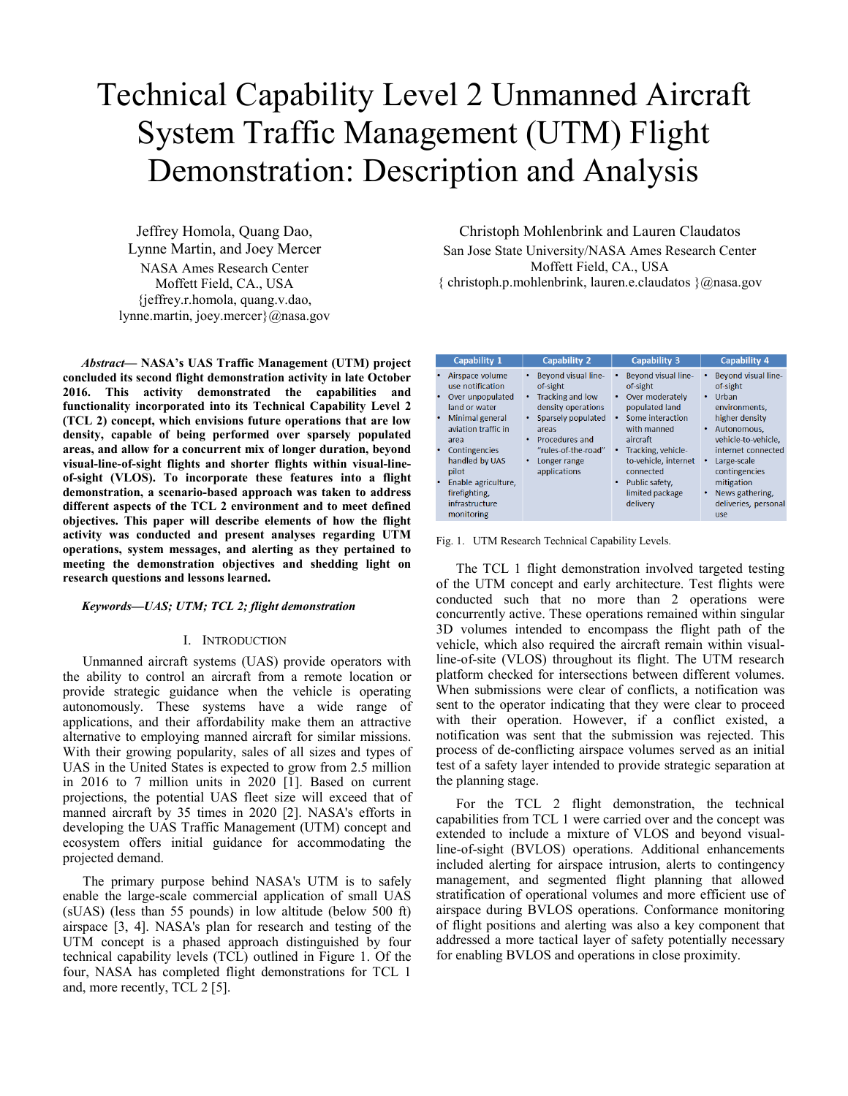# Technical Capability Level 2 Unmanned Aircraft System Traffic Management (UTM) Flight Demonstration: Description and Analysis

Jeffrey Homola, Quang Dao, Lynne Martin, and Joey Mercer NASA Ames Research Center Moffett Field, CA., USA {jeffrey.r.homola, quang.v.dao, lynne.martin, joey.mercer}@nasa.gov

*Abstract***— NASA's UAS Traffic Management (UTM) project concluded its second flight demonstration activity in late October 2016. This activity demonstrated the capabilities and functionality incorporated into its Technical Capability Level 2 (TCL 2) concept, which envisions future operations that are low density, capable of being performed over sparsely populated areas, and allow for a concurrent mix of longer duration, beyond visual-line-of-sight flights and shorter flights within visual-lineof-sight (VLOS). To incorporate these features into a flight demonstration, a scenario-based approach was taken to address different aspects of the TCL 2 environment and to meet defined objectives. This paper will describe elements of how the flight activity was conducted and present analyses regarding UTM operations, system messages, and alerting as they pertained to meeting the demonstration objectives and shedding light on research questions and lessons learned.** 

#### *Keywords—UAS; UTM; TCL 2; flight demonstration*

## I. INTRODUCTION

Unmanned aircraft systems (UAS) provide operators with the ability to control an aircraft from a remote location or provide strategic guidance when the vehicle is operating autonomously. These systems have a wide range of applications, and their affordability make them an attractive alternative to employing manned aircraft for similar missions. With their growing popularity, sales of all sizes and types of UAS in the United States is expected to grow from 2.5 million in 2016 to 7 million units in 2020 [1]. Based on current projections, the potential UAS fleet size will exceed that of manned aircraft by 35 times in 2020 [2]. NASA's efforts in developing the UAS Traffic Management (UTM) concept and ecosystem offers initial guidance for accommodating the projected demand.

The primary purpose behind NASA's UTM is to safely enable the large-scale commercial application of small UAS (sUAS) (less than 55 pounds) in low altitude (below 500 ft) airspace [3, 4]. NASA's plan for research and testing of the UTM concept is a phased approach distinguished by four technical capability levels (TCL) outlined in Figure 1. Of the four, NASA has completed flight demonstrations for TCL 1 and, more recently, TCL 2 [5].

Christoph Mohlenbrink and Lauren Claudatos San Jose State University/NASA Ames Research Center Moffett Field, CA., USA { christoph.p.mohlenbrink, lauren.e.claudatos }@nasa.gov

| Capability 1                                                                                                                                                                                                                                                                               | <b>Capability 2</b>                                                                                                                                                                                                | <b>Capability 3</b>                                                                                                                                                                                                                                      | <b>Capability 4</b>                                                                                                                                                                                                                                               |
|--------------------------------------------------------------------------------------------------------------------------------------------------------------------------------------------------------------------------------------------------------------------------------------------|--------------------------------------------------------------------------------------------------------------------------------------------------------------------------------------------------------------------|----------------------------------------------------------------------------------------------------------------------------------------------------------------------------------------------------------------------------------------------------------|-------------------------------------------------------------------------------------------------------------------------------------------------------------------------------------------------------------------------------------------------------------------|
| Airspace volume<br>use notification<br>Over unpopulated<br>$\bullet$<br>land or water<br>Minimal general<br>$\bullet$<br>aviation traffic in<br>area<br>Contingencies<br>٠<br>handled by UAS<br>pilot<br>Enable agriculture,<br>$\bullet$<br>firefighting,<br>infrastructure<br>monitoring | Beyond visual line-<br>٠<br>of-sight<br>Tracking and low<br>٠<br>density operations<br>Sparsely populated<br>$\bullet$<br>areas<br>Procedures and<br>۰<br>"rules-of-the-road"<br>Longer range<br>٠<br>applications | Beyond visual line-<br>٠<br>of-sight<br>Over moderately<br>٠<br>populated land<br>Some interaction<br>٠<br>with manned<br>aircraft<br>Tracking, vehicle-<br>٠<br>to-vehicle, internet<br>connected<br>Public safety,<br>٠<br>limited package<br>delivery | Beyond visual line-<br>٠<br>of-sight<br>Urban<br>٠<br>environments,<br>higher density<br>Autonomous.<br>٠<br>vehicle-to-vehicle,<br>internet connected<br>Large-scale<br>٠<br>contingencies<br>mitigation<br>News gathering,<br>۰<br>deliveries, personal<br>use. |

Fig. 1. UTM Research Technical Capability Levels.

The TCL 1 flight demonstration involved targeted testing of the UTM concept and early architecture. Test flights were conducted such that no more than 2 operations were concurrently active. These operations remained within singular 3D volumes intended to encompass the flight path of the vehicle, which also required the aircraft remain within visualline-of-site (VLOS) throughout its flight. The UTM research platform checked for intersections between different volumes. When submissions were clear of conflicts, a notification was sent to the operator indicating that they were clear to proceed with their operation. However, if a conflict existed, a notification was sent that the submission was rejected. This process of de-conflicting airspace volumes served as an initial test of a safety layer intended to provide strategic separation at the planning stage.

For the TCL 2 flight demonstration, the technical capabilities from TCL 1 were carried over and the concept was extended to include a mixture of VLOS and beyond visualline-of-sight (BVLOS) operations. Additional enhancements included alerting for airspace intrusion, alerts to contingency management, and segmented flight planning that allowed stratification of operational volumes and more efficient use of airspace during BVLOS operations. Conformance monitoring of flight positions and alerting was also a key component that addressed a more tactical layer of safety potentially necessary for enabling BVLOS and operations in close proximity.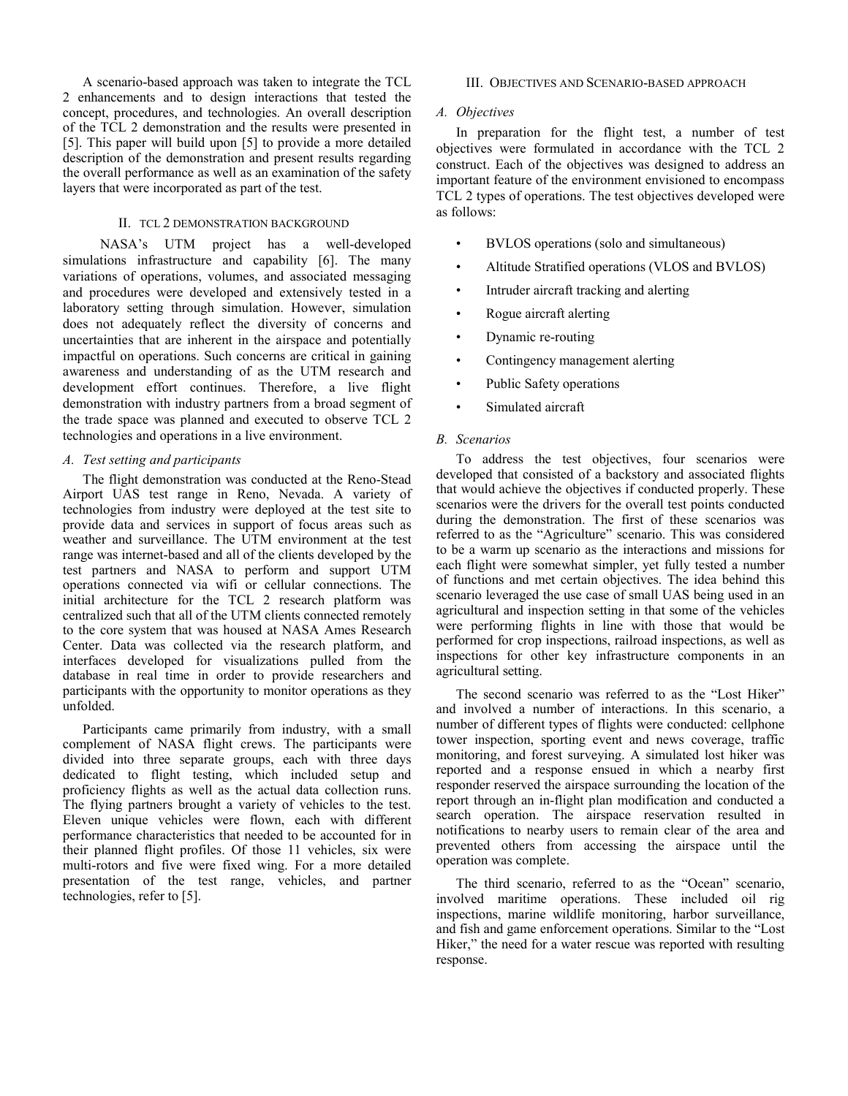A scenario-based approach was taken to integrate the TCL 2 enhancements and to design interactions that tested the concept, procedures, and technologies. An overall description of the TCL 2 demonstration and the results were presented in [5]. This paper will build upon [5] to provide a more detailed description of the demonstration and present results regarding the overall performance as well as an examination of the safety layers that were incorporated as part of the test.

#### II. TCL 2 DEMONSTRATION BACKGROUND

NASA's UTM project has a well-developed simulations infrastructure and capability [6]. The many variations of operations, volumes, and associated messaging and procedures were developed and extensively tested in a laboratory setting through simulation. However, simulation does not adequately reflect the diversity of concerns and uncertainties that are inherent in the airspace and potentially impactful on operations. Such concerns are critical in gaining awareness and understanding of as the UTM research and development effort continues. Therefore, a live flight demonstration with industry partners from a broad segment of the trade space was planned and executed to observe TCL 2 technologies and operations in a live environment.

## *A. Test setting and participants*

The flight demonstration was conducted at the Reno-Stead Airport UAS test range in Reno, Nevada. A variety of technologies from industry were deployed at the test site to provide data and services in support of focus areas such as weather and surveillance. The UTM environment at the test range was internet-based and all of the clients developed by the test partners and NASA to perform and support UTM operations connected via wifi or cellular connections. The initial architecture for the TCL 2 research platform was centralized such that all of the UTM clients connected remotely to the core system that was housed at NASA Ames Research Center. Data was collected via the research platform, and interfaces developed for visualizations pulled from the database in real time in order to provide researchers and participants with the opportunity to monitor operations as they unfolded.

Participants came primarily from industry, with a small complement of NASA flight crews. The participants were divided into three separate groups, each with three days dedicated to flight testing, which included setup and proficiency flights as well as the actual data collection runs. The flying partners brought a variety of vehicles to the test. Eleven unique vehicles were flown, each with different performance characteristics that needed to be accounted for in their planned flight profiles. Of those 11 vehicles, six were multi-rotors and five were fixed wing. For a more detailed presentation of the test range, vehicles, and partner technologies, refer to [5].

#### III. OBJECTIVES AND SCENARIO-BASED APPROACH

#### *A. Objectives*

In preparation for the flight test, a number of test objectives were formulated in accordance with the TCL 2 construct. Each of the objectives was designed to address an important feature of the environment envisioned to encompass TCL 2 types of operations. The test objectives developed were as follows:

- BVLOS operations (solo and simultaneous)
- Altitude Stratified operations (VLOS and BVLOS)
- Intruder aircraft tracking and alerting
- Rogue aircraft alerting
- Dynamic re-routing
- Contingency management alerting
- Public Safety operations
- Simulated aircraft

# *B. Scenarios*

To address the test objectives, four scenarios were developed that consisted of a backstory and associated flights that would achieve the objectives if conducted properly. These scenarios were the drivers for the overall test points conducted during the demonstration. The first of these scenarios was referred to as the "Agriculture" scenario. This was considered to be a warm up scenario as the interactions and missions for each flight were somewhat simpler, yet fully tested a number of functions and met certain objectives. The idea behind this scenario leveraged the use case of small UAS being used in an agricultural and inspection setting in that some of the vehicles were performing flights in line with those that would be performed for crop inspections, railroad inspections, as well as inspections for other key infrastructure components in an agricultural setting.

The second scenario was referred to as the "Lost Hiker" and involved a number of interactions. In this scenario, a number of different types of flights were conducted: cellphone tower inspection, sporting event and news coverage, traffic monitoring, and forest surveying. A simulated lost hiker was reported and a response ensued in which a nearby first responder reserved the airspace surrounding the location of the report through an in-flight plan modification and conducted a search operation. The airspace reservation resulted in notifications to nearby users to remain clear of the area and prevented others from accessing the airspace until the operation was complete.

The third scenario, referred to as the "Ocean" scenario, involved maritime operations. These included oil rig inspections, marine wildlife monitoring, harbor surveillance, and fish and game enforcement operations. Similar to the "Lost Hiker," the need for a water rescue was reported with resulting response.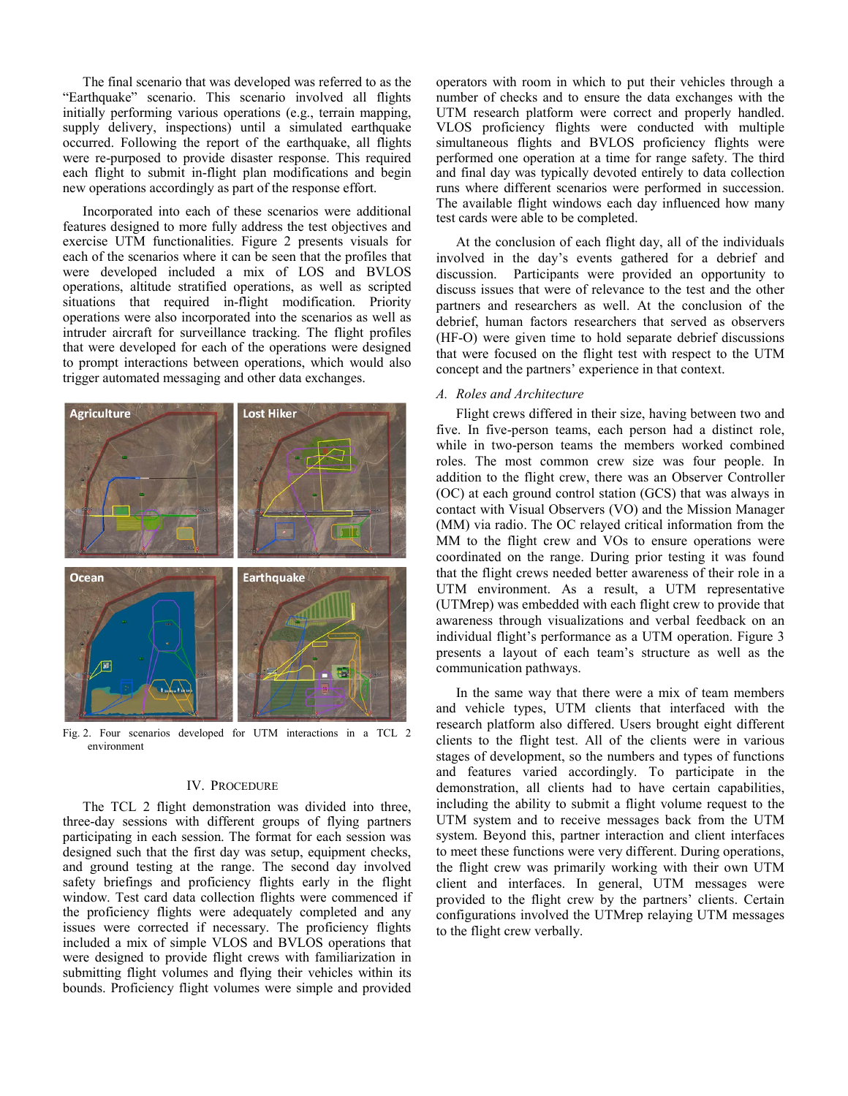The final scenario that was developed was referred to as the "Earthquake" scenario. This scenario involved all flights initially performing various operations (e.g., terrain mapping, supply delivery, inspections) until a simulated earthquake occurred. Following the report of the earthquake, all flights were re-purposed to provide disaster response. This required each flight to submit in-flight plan modifications and begin new operations accordingly as part of the response effort.

Incorporated into each of these scenarios were additional features designed to more fully address the test objectives and exercise UTM functionalities. Figure 2 presents visuals for each of the scenarios where it can be seen that the profiles that were developed included a mix of LOS and BVLOS operations, altitude stratified operations, as well as scripted situations that required in-flight modification. Priority operations were also incorporated into the scenarios as well as intruder aircraft for surveillance tracking. The flight profiles that were developed for each of the operations were designed to prompt interactions between operations, which would also trigger automated messaging and other data exchanges.



Fig. 2. Four scenarios developed for UTM interactions in a TCL 2 environment

#### IV. PROCEDURE

The TCL 2 flight demonstration was divided into three, three-day sessions with different groups of flying partners participating in each session. The format for each session was designed such that the first day was setup, equipment checks, and ground testing at the range. The second day involved safety briefings and proficiency flights early in the flight window. Test card data collection flights were commenced if the proficiency flights were adequately completed and any issues were corrected if necessary. The proficiency flights included a mix of simple VLOS and BVLOS operations that were designed to provide flight crews with familiarization in submitting flight volumes and flying their vehicles within its bounds. Proficiency flight volumes were simple and provided operators with room in which to put their vehicles through a number of checks and to ensure the data exchanges with the UTM research platform were correct and properly handled. VLOS proficiency flights were conducted with multiple simultaneous flights and BVLOS proficiency flights were performed one operation at a time for range safety. The third and final day was typically devoted entirely to data collection runs where different scenarios were performed in succession. The available flight windows each day influenced how many test cards were able to be completed.

At the conclusion of each flight day, all of the individuals involved in the day's events gathered for a debrief and discussion. Participants were provided an opportunity to discuss issues that were of relevance to the test and the other partners and researchers as well. At the conclusion of the debrief, human factors researchers that served as observers (HF-O) were given time to hold separate debrief discussions that were focused on the flight test with respect to the UTM concept and the partners' experience in that context.

#### *A. Roles and Architecture*

Flight crews differed in their size, having between two and five. In five-person teams, each person had a distinct role, while in two-person teams the members worked combined roles. The most common crew size was four people. In addition to the flight crew, there was an Observer Controller (OC) at each ground control station (GCS) that was always in contact with Visual Observers (VO) and the Mission Manager (MM) via radio. The OC relayed critical information from the MM to the flight crew and VOs to ensure operations were coordinated on the range. During prior testing it was found that the flight crews needed better awareness of their role in a UTM environment. As a result, a UTM representative (UTMrep) was embedded with each flight crew to provide that awareness through visualizations and verbal feedback on an individual flight's performance as a UTM operation. Figure 3 presents a layout of each team's structure as well as the communication pathways.

In the same way that there were a mix of team members and vehicle types, UTM clients that interfaced with the research platform also differed. Users brought eight different clients to the flight test. All of the clients were in various stages of development, so the numbers and types of functions and features varied accordingly. To participate in the demonstration, all clients had to have certain capabilities, including the ability to submit a flight volume request to the UTM system and to receive messages back from the UTM system. Beyond this, partner interaction and client interfaces to meet these functions were very different. During operations, the flight crew was primarily working with their own UTM client and interfaces. In general, UTM messages were provided to the flight crew by the partners' clients. Certain configurations involved the UTMrep relaying UTM messages to the flight crew verbally.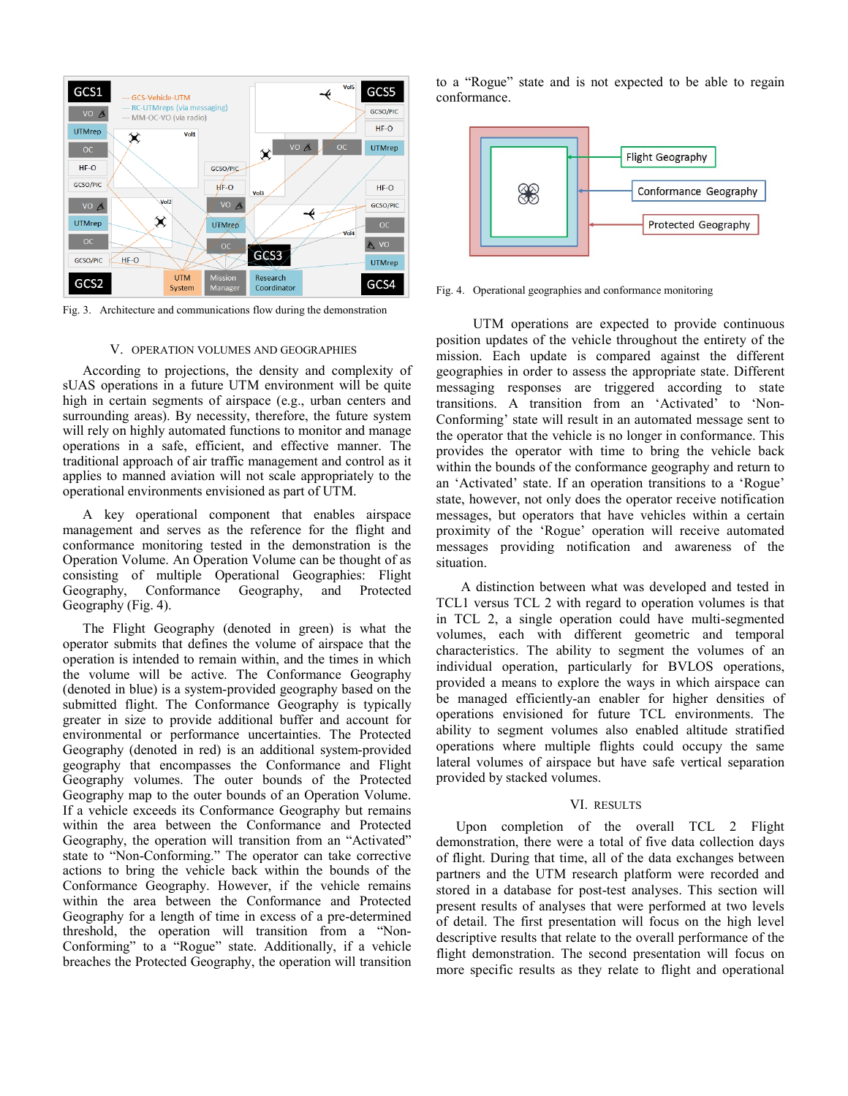

Fig. 3. Architecture and communications flow during the demonstration

## V. OPERATION VOLUMES AND GEOGRAPHIES

According to projections, the density and complexity of sUAS operations in a future UTM environment will be quite high in certain segments of airspace (e.g., urban centers and surrounding areas). By necessity, therefore, the future system will rely on highly automated functions to monitor and manage operations in a safe, efficient, and effective manner. The traditional approach of air traffic management and control as it applies to manned aviation will not scale appropriately to the operational environments envisioned as part of UTM.

A key operational component that enables airspace management and serves as the reference for the flight and conformance monitoring tested in the demonstration is the Operation Volume. An Operation Volume can be thought of as consisting of multiple Operational Geographies: Flight Geography, Conformance Geography, and Protected Geography (Fig. 4).

The Flight Geography (denoted in green) is what the operator submits that defines the volume of airspace that the operation is intended to remain within, and the times in which the volume will be active. The Conformance Geography (denoted in blue) is a system-provided geography based on the submitted flight. The Conformance Geography is typically greater in size to provide additional buffer and account for environmental or performance uncertainties. The Protected Geography (denoted in red) is an additional system-provided geography that encompasses the Conformance and Flight Geography volumes. The outer bounds of the Protected Geography map to the outer bounds of an Operation Volume. If a vehicle exceeds its Conformance Geography but remains within the area between the Conformance and Protected Geography, the operation will transition from an "Activated" state to "Non-Conforming." The operator can take corrective actions to bring the vehicle back within the bounds of the Conformance Geography. However, if the vehicle remains within the area between the Conformance and Protected Geography for a length of time in excess of a pre-determined threshold, the operation will transition from a "Non-Conforming" to a "Rogue" state. Additionally, if a vehicle breaches the Protected Geography, the operation will transition

to a "Rogue" state and is not expected to be able to regain conformance.



Fig. 4. Operational geographies and conformance monitoring

 UTM operations are expected to provide continuous position updates of the vehicle throughout the entirety of the mission. Each update is compared against the different geographies in order to assess the appropriate state. Different messaging responses are triggered according to state transitions. A transition from an 'Activated' to 'Non-Conforming' state will result in an automated message sent to the operator that the vehicle is no longer in conformance. This provides the operator with time to bring the vehicle back within the bounds of the conformance geography and return to an 'Activated' state. If an operation transitions to a 'Rogue' state, however, not only does the operator receive notification messages, but operators that have vehicles within a certain proximity of the 'Rogue' operation will receive automated messages providing notification and awareness of the situation.

A distinction between what was developed and tested in TCL1 versus TCL 2 with regard to operation volumes is that in TCL 2, a single operation could have multi-segmented volumes, each with different geometric and temporal characteristics. The ability to segment the volumes of an individual operation, particularly for BVLOS operations, provided a means to explore the ways in which airspace can be managed efficiently-an enabler for higher densities of operations envisioned for future TCL environments. The ability to segment volumes also enabled altitude stratified operations where multiple flights could occupy the same lateral volumes of airspace but have safe vertical separation provided by stacked volumes.

#### VI. RESULTS

Upon completion of the overall TCL 2 Flight demonstration, there were a total of five data collection days of flight. During that time, all of the data exchanges between partners and the UTM research platform were recorded and stored in a database for post-test analyses. This section will present results of analyses that were performed at two levels of detail. The first presentation will focus on the high level descriptive results that relate to the overall performance of the flight demonstration. The second presentation will focus on more specific results as they relate to flight and operational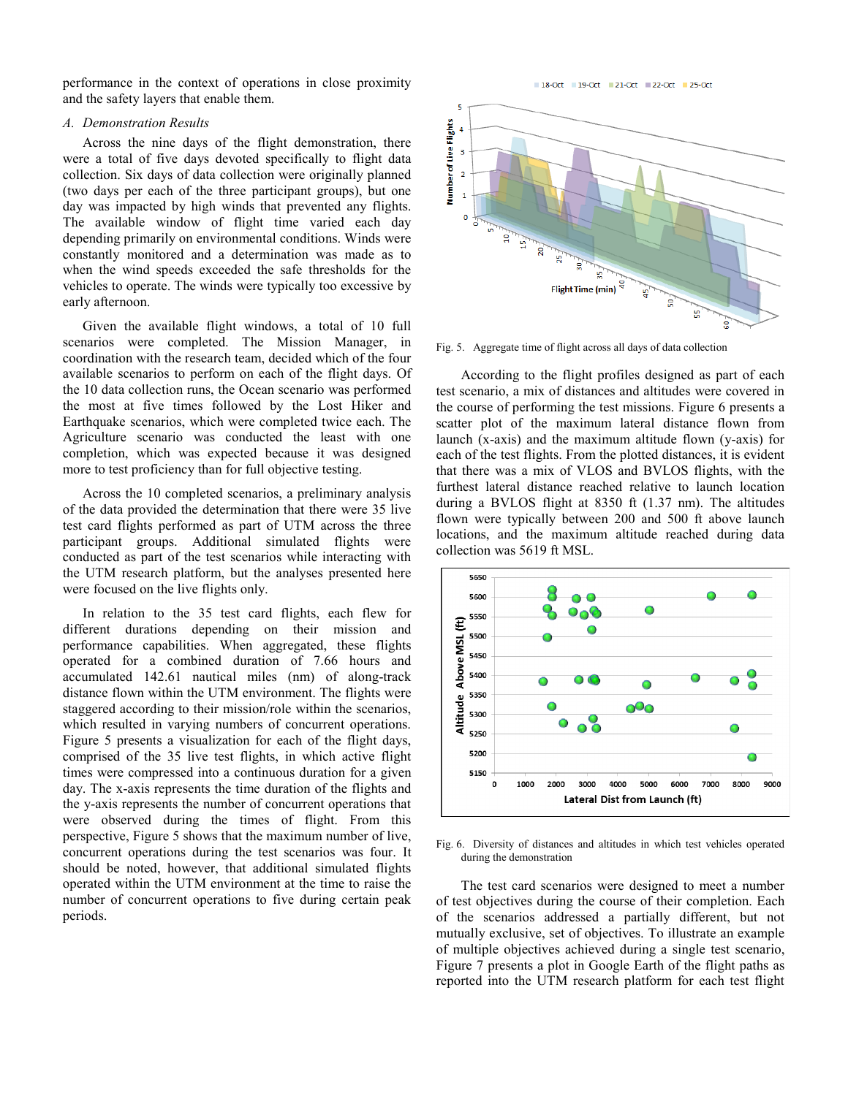performance in the context of operations in close proximity and the safety layers that enable them.

## *A. Demonstration Results*

Across the nine days of the flight demonstration, there were a total of five days devoted specifically to flight data collection. Six days of data collection were originally planned (two days per each of the three participant groups), but one day was impacted by high winds that prevented any flights. The available window of flight time varied each day depending primarily on environmental conditions. Winds were constantly monitored and a determination was made as to when the wind speeds exceeded the safe thresholds for the vehicles to operate. The winds were typically too excessive by early afternoon.

Given the available flight windows, a total of 10 full scenarios were completed. The Mission Manager, in coordination with the research team, decided which of the four available scenarios to perform on each of the flight days. Of the 10 data collection runs, the Ocean scenario was performed the most at five times followed by the Lost Hiker and Earthquake scenarios, which were completed twice each. The Agriculture scenario was conducted the least with one completion, which was expected because it was designed more to test proficiency than for full objective testing.

Across the 10 completed scenarios, a preliminary analysis of the data provided the determination that there were 35 live test card flights performed as part of UTM across the three participant groups. Additional simulated flights were conducted as part of the test scenarios while interacting with the UTM research platform, but the analyses presented here were focused on the live flights only.

In relation to the 35 test card flights, each flew for different durations depending on their mission and performance capabilities. When aggregated, these flights operated for a combined duration of 7.66 hours and accumulated 142.61 nautical miles (nm) of along-track distance flown within the UTM environment. The flights were staggered according to their mission/role within the scenarios, which resulted in varying numbers of concurrent operations. Figure 5 presents a visualization for each of the flight days, comprised of the 35 live test flights, in which active flight times were compressed into a continuous duration for a given day. The x-axis represents the time duration of the flights and the y-axis represents the number of concurrent operations that were observed during the times of flight. From this perspective, Figure 5 shows that the maximum number of live, concurrent operations during the test scenarios was four. It should be noted, however, that additional simulated flights operated within the UTM environment at the time to raise the number of concurrent operations to five during certain peak periods.



Fig. 5. Aggregate time of flight across all days of data collection

According to the flight profiles designed as part of each test scenario, a mix of distances and altitudes were covered in the course of performing the test missions. Figure 6 presents a scatter plot of the maximum lateral distance flown from launch (x-axis) and the maximum altitude flown (y-axis) for each of the test flights. From the plotted distances, it is evident that there was a mix of VLOS and BVLOS flights, with the furthest lateral distance reached relative to launch location during a BVLOS flight at 8350 ft (1.37 nm). The altitudes flown were typically between 200 and 500 ft above launch locations, and the maximum altitude reached during data collection was 5619 ft MSL.



Fig. 6. Diversity of distances and altitudes in which test vehicles operated during the demonstration

The test card scenarios were designed to meet a number of test objectives during the course of their completion. Each of the scenarios addressed a partially different, but not mutually exclusive, set of objectives. To illustrate an example of multiple objectives achieved during a single test scenario, Figure 7 presents a plot in Google Earth of the flight paths as reported into the UTM research platform for each test flight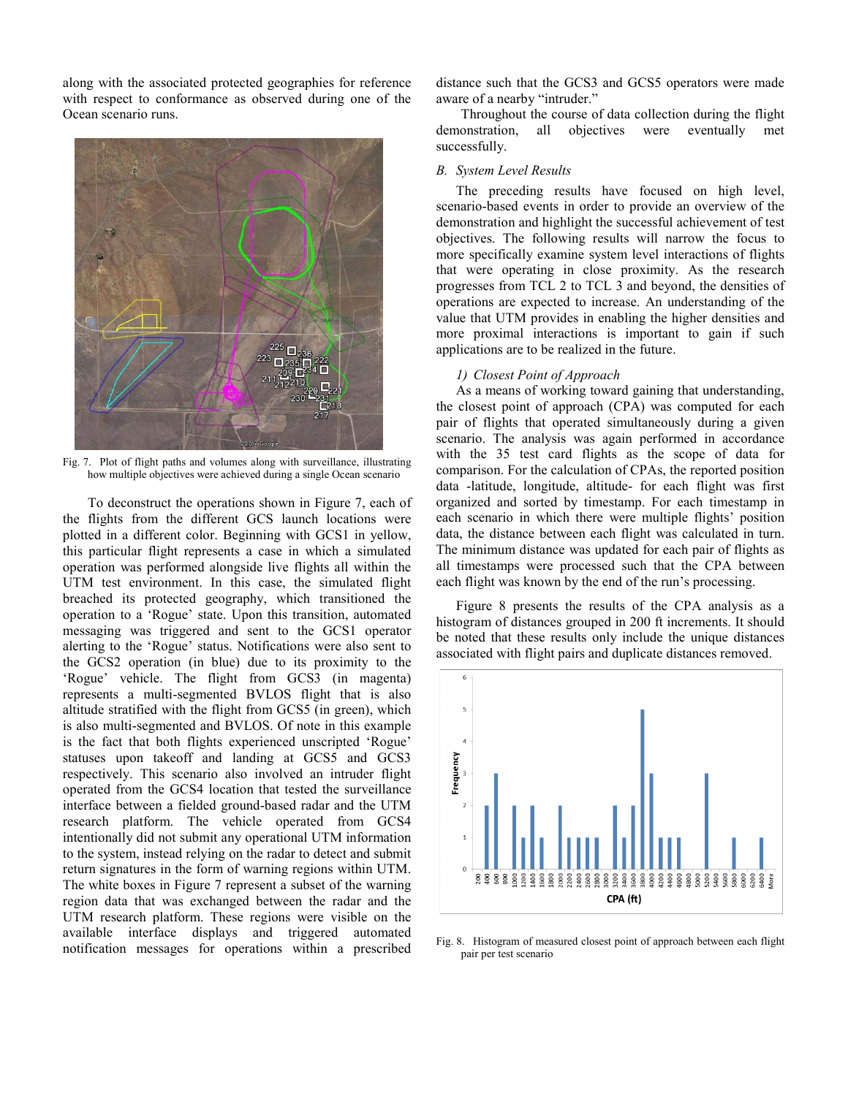along with the associated protected geographies for reference with respect to conformance as observed during one of the Ocean scenario runs.



Fig. 7. Plot of flight paths and volumes along with surveillance, illustrating how multiple objectives were achieved during a single Ocean scenario

To deconstruct the operations shown in Figure 7, each of the flights from the different GCS launch locations were plotted in a different color. Beginning with GCS1 in yellow, this particular flight represents a case in which a simulated operation was performed alongside live flights all within the UTM test environment. In this case, the simulated flight breached its protected geography, which transitioned the operation to a 'Rogue' state. Upon this transition, automated messaging was triggered and sent to the GCS1 operator alerting to the 'Rogue' status. Notifications were also sent to the GCS2 operation (in blue) due to its proximity to the 'Rogue' vehicle. The flight from GCS3 (in magenta) represents a multi-segmented BVLOS flight that is also altitude stratified with the flight from GCS5 (in green), which is also multi-segmented and BVLOS. Of note in this example is the fact that both flights experienced unscripted 'Rogue' statuses upon takeoff and landing at GCS5 and GCS3 respectively. This scenario also involved an intruder flight operated from the GCS4 location that tested the surveillance interface between a fielded ground-based radar and the UTM research platform. The vehicle operated from GCS4 intentionally did not submit any operational UTM information to the system, instead relying on the radar to detect and submit return signatures in the form of warning regions within UTM. The white boxes in Figure 7 represent a subset of the warning region data that was exchanged between the radar and the UTM research platform. These regions were visible on the available interface displays and triggered automated notification messages for operations within a prescribed distance such that the GCS3 and GCS5 operators were made aware of a nearby "intruder."

Throughout the course of data collection during the flight demonstration, all objectives were eventually met successfully.

#### *B. System Level Results*

The preceding results have focused on high level, scenario-based events in order to provide an overview of the demonstration and highlight the successful achievement of test objectives. The following results will narrow the focus to more specifically examine system level interactions of flights that were operating in close proximity. As the research progresses from TCL 2 to TCL 3 and beyond, the densities of operations are expected to increase. An understanding of the value that UTM provides in enabling the higher densities and more proximal interactions is important to gain if such applications are to be realized in the future.

## *1) Closest Point of Approach*

As a means of working toward gaining that understanding, the closest point of approach (CPA) was computed for each pair of flights that operated simultaneously during a given scenario. The analysis was again performed in accordance with the 35 test card flights as the scope of data for comparison. For the calculation of CPAs, the reported position data -latitude, longitude, altitude- for each flight was first organized and sorted by timestamp. For each timestamp in each scenario in which there were multiple flights' position data, the distance between each flight was calculated in turn. The minimum distance was updated for each pair of flights as all timestamps were processed such that the CPA between each flight was known by the end of the run's processing.

Figure 8 presents the results of the CPA analysis as a histogram of distances grouped in 200 ft increments. It should be noted that these results only include the unique distances associated with flight pairs and duplicate distances removed.



Fig. 8. Histogram of measured closest point of approach between each flight pair per test scenario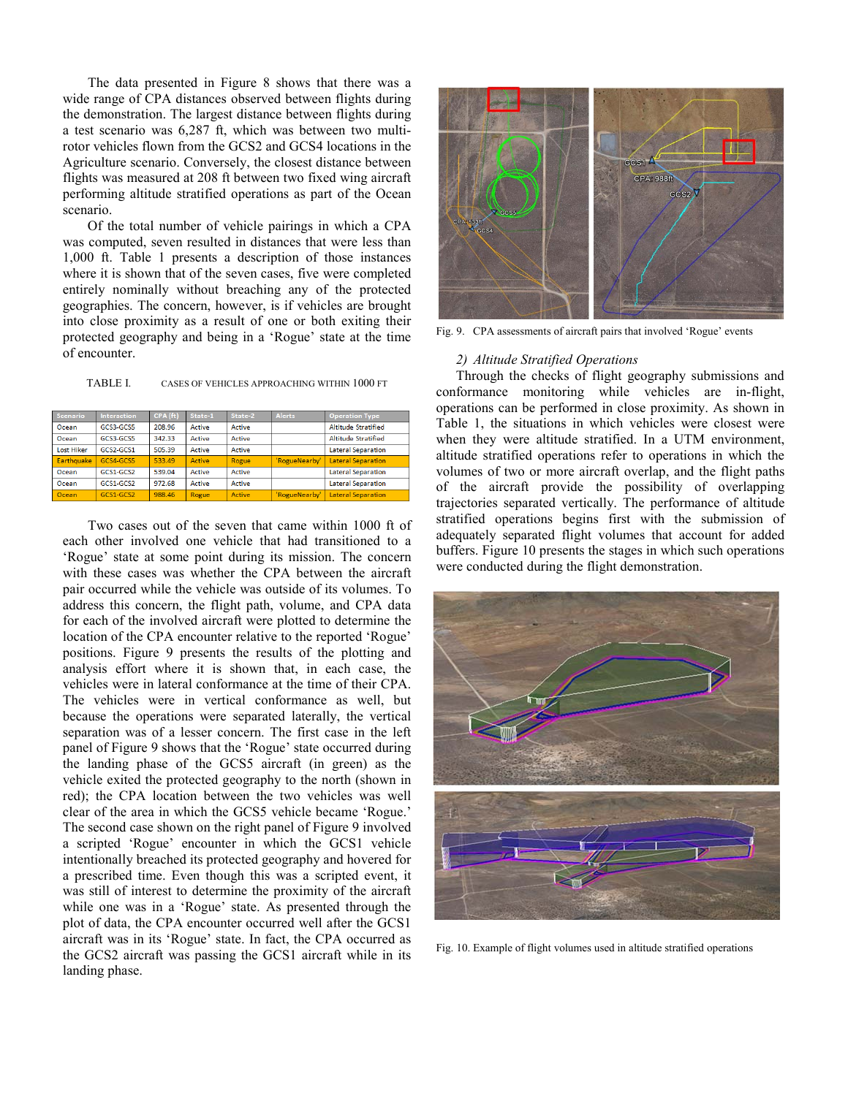The data presented in Figure 8 shows that there was a wide range of CPA distances observed between flights during the demonstration. The largest distance between flights during a test scenario was 6,287 ft, which was between two multirotor vehicles flown from the GCS2 and GCS4 locations in the Agriculture scenario. Conversely, the closest distance between flights was measured at 208 ft between two fixed wing aircraft performing altitude stratified operations as part of the Ocean scenario.

Of the total number of vehicle pairings in which a CPA was computed, seven resulted in distances that were less than 1,000 ft. Table 1 presents a description of those instances where it is shown that of the seven cases, five were completed entirely nominally without breaching any of the protected geographies. The concern, however, is if vehicles are brought into close proximity as a result of one or both exiting their protected geography and being in a 'Rogue' state at the time of encounter.

TABLE I. CASES OF VEHICLES APPROACHING WITHIN 1000 FT

| Scenario          | <b>Interaction</b> | CPA(f <sub>t</sub> ) | State-1 | State-2 | <b>Alerts</b> | <b>Operation Type</b>     |
|-------------------|--------------------|----------------------|---------|---------|---------------|---------------------------|
| Ocean             | GCS3-GCS5          | 208.96               | Active  | Active  |               | Altitude Stratified       |
| Ocean             | <b>GCS3-GCS5</b>   | 342.33               | Active  | Active  |               | Altitude Stratified       |
| <b>Lost Hiker</b> | GCS2-GCS1          | 505.39               | Active  | Active  |               | <b>Lateral Separation</b> |
| <b>Earthquake</b> | GCS4-GCS5          | 533.49               | Active  | Rogue   | 'RogueNearby' | <b>Lateral Separation</b> |
| Ocean             | GCS1-GCS2          | 539.04               | Active  | Active  |               | <b>Lateral Separation</b> |
| Ocean             | GCS1-GCS2          | 972.68               | Active  | Active  |               | <b>Lateral Separation</b> |
| Ocean             | GCS1-GCS2          | 988.46               | Rogue   | Active  | 'RogueNearby' | <b>Lateral Separation</b> |

Two cases out of the seven that came within 1000 ft of each other involved one vehicle that had transitioned to a 'Rogue' state at some point during its mission. The concern with these cases was whether the CPA between the aircraft pair occurred while the vehicle was outside of its volumes. To address this concern, the flight path, volume, and CPA data for each of the involved aircraft were plotted to determine the location of the CPA encounter relative to the reported 'Rogue' positions. Figure 9 presents the results of the plotting and analysis effort where it is shown that, in each case, the vehicles were in lateral conformance at the time of their CPA. The vehicles were in vertical conformance as well, but because the operations were separated laterally, the vertical separation was of a lesser concern. The first case in the left panel of Figure 9 shows that the 'Rogue' state occurred during the landing phase of the GCS5 aircraft (in green) as the vehicle exited the protected geography to the north (shown in red); the CPA location between the two vehicles was well clear of the area in which the GCS5 vehicle became 'Rogue.' The second case shown on the right panel of Figure 9 involved a scripted 'Rogue' encounter in which the GCS1 vehicle intentionally breached its protected geography and hovered for a prescribed time. Even though this was a scripted event, it was still of interest to determine the proximity of the aircraft while one was in a 'Rogue' state. As presented through the plot of data, the CPA encounter occurred well after the GCS1 aircraft was in its 'Rogue' state. In fact, the CPA occurred as the GCS2 aircraft was passing the GCS1 aircraft while in its landing phase.



Fig. 9. CPA assessments of aircraft pairs that involved 'Rogue' events

## *2) Altitude Stratified Operations*

Through the checks of flight geography submissions and conformance monitoring while vehicles are in-flight, operations can be performed in close proximity. As shown in Table 1, the situations in which vehicles were closest were when they were altitude stratified. In a UTM environment, altitude stratified operations refer to operations in which the volumes of two or more aircraft overlap, and the flight paths of the aircraft provide the possibility of overlapping trajectories separated vertically. The performance of altitude stratified operations begins first with the submission of adequately separated flight volumes that account for added buffers. Figure 10 presents the stages in which such operations were conducted during the flight demonstration.



Fig. 10. Example of flight volumes used in altitude stratified operations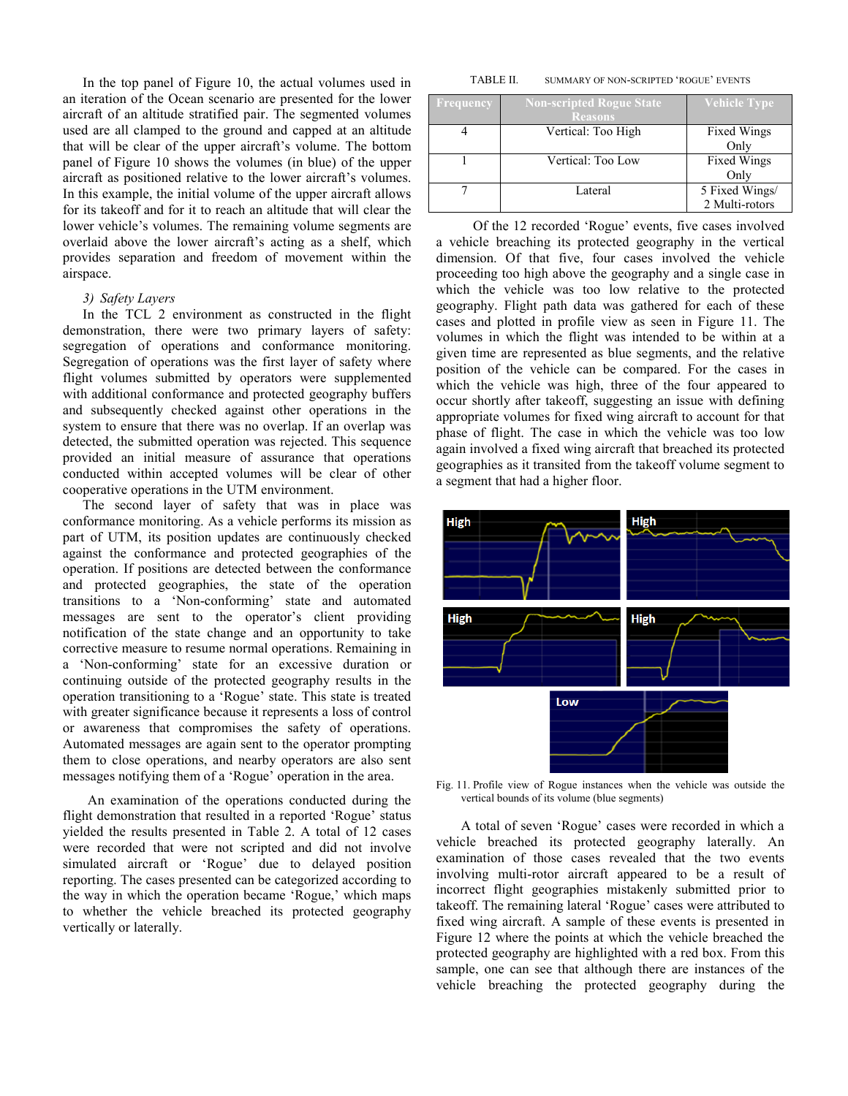In the top panel of Figure 10, the actual volumes used in an iteration of the Ocean scenario are presented for the lower aircraft of an altitude stratified pair. The segmented volumes used are all clamped to the ground and capped at an altitude that will be clear of the upper aircraft's volume. The bottom panel of Figure 10 shows the volumes (in blue) of the upper aircraft as positioned relative to the lower aircraft's volumes. In this example, the initial volume of the upper aircraft allows for its takeoff and for it to reach an altitude that will clear the lower vehicle's volumes. The remaining volume segments are overlaid above the lower aircraft's acting as a shelf, which provides separation and freedom of movement within the airspace.

#### *3) Safety Layers*

In the TCL 2 environment as constructed in the flight demonstration, there were two primary layers of safety: segregation of operations and conformance monitoring. Segregation of operations was the first layer of safety where flight volumes submitted by operators were supplemented with additional conformance and protected geography buffers and subsequently checked against other operations in the system to ensure that there was no overlap. If an overlap was detected, the submitted operation was rejected. This sequence provided an initial measure of assurance that operations conducted within accepted volumes will be clear of other cooperative operations in the UTM environment.

The second layer of safety that was in place was conformance monitoring. As a vehicle performs its mission as part of UTM, its position updates are continuously checked against the conformance and protected geographies of the operation. If positions are detected between the conformance and protected geographies, the state of the operation transitions to a 'Non-conforming' state and automated messages are sent to the operator's client providing notification of the state change and an opportunity to take corrective measure to resume normal operations. Remaining in a 'Non-conforming' state for an excessive duration or continuing outside of the protected geography results in the operation transitioning to a 'Rogue' state. This state is treated with greater significance because it represents a loss of control or awareness that compromises the safety of operations. Automated messages are again sent to the operator prompting them to close operations, and nearby operators are also sent messages notifying them of a 'Rogue' operation in the area.

An examination of the operations conducted during the flight demonstration that resulted in a reported 'Rogue' status yielded the results presented in Table 2. A total of 12 cases were recorded that were not scripted and did not involve simulated aircraft or 'Rogue' due to delayed position reporting. The cases presented can be categorized according to the way in which the operation became 'Rogue,' which maps to whether the vehicle breached its protected geography vertically or laterally.

TABLE II. SUMMARY OF NON-SCRIPTED 'ROGUE' EVENTS

| <b>Frequency</b> | <b>Non-scripted Rogue State</b><br><b>Reasons</b> | <b>Vehicle Type</b>              |
|------------------|---------------------------------------------------|----------------------------------|
|                  | Vertical: Too High                                | <b>Fixed Wings</b><br>Only       |
|                  | Vertical: Too Low                                 | <b>Fixed Wings</b><br>Only       |
|                  | Lateral                                           | 5 Fixed Wings/<br>2 Multi-rotors |

 Of the 12 recorded 'Rogue' events, five cases involved a vehicle breaching its protected geography in the vertical dimension. Of that five, four cases involved the vehicle proceeding too high above the geography and a single case in which the vehicle was too low relative to the protected geography. Flight path data was gathered for each of these cases and plotted in profile view as seen in Figure 11. The volumes in which the flight was intended to be within at a given time are represented as blue segments, and the relative position of the vehicle can be compared. For the cases in which the vehicle was high, three of the four appeared to occur shortly after takeoff, suggesting an issue with defining appropriate volumes for fixed wing aircraft to account for that phase of flight. The case in which the vehicle was too low again involved a fixed wing aircraft that breached its protected geographies as it transited from the takeoff volume segment to a segment that had a higher floor.



Fig. 11. Profile view of Rogue instances when the vehicle was outside the vertical bounds of its volume (blue segments)

A total of seven 'Rogue' cases were recorded in which a vehicle breached its protected geography laterally. An examination of those cases revealed that the two events involving multi-rotor aircraft appeared to be a result of incorrect flight geographies mistakenly submitted prior to takeoff. The remaining lateral 'Rogue' cases were attributed to fixed wing aircraft. A sample of these events is presented in Figure 12 where the points at which the vehicle breached the protected geography are highlighted with a red box. From this sample, one can see that although there are instances of the vehicle breaching the protected geography during the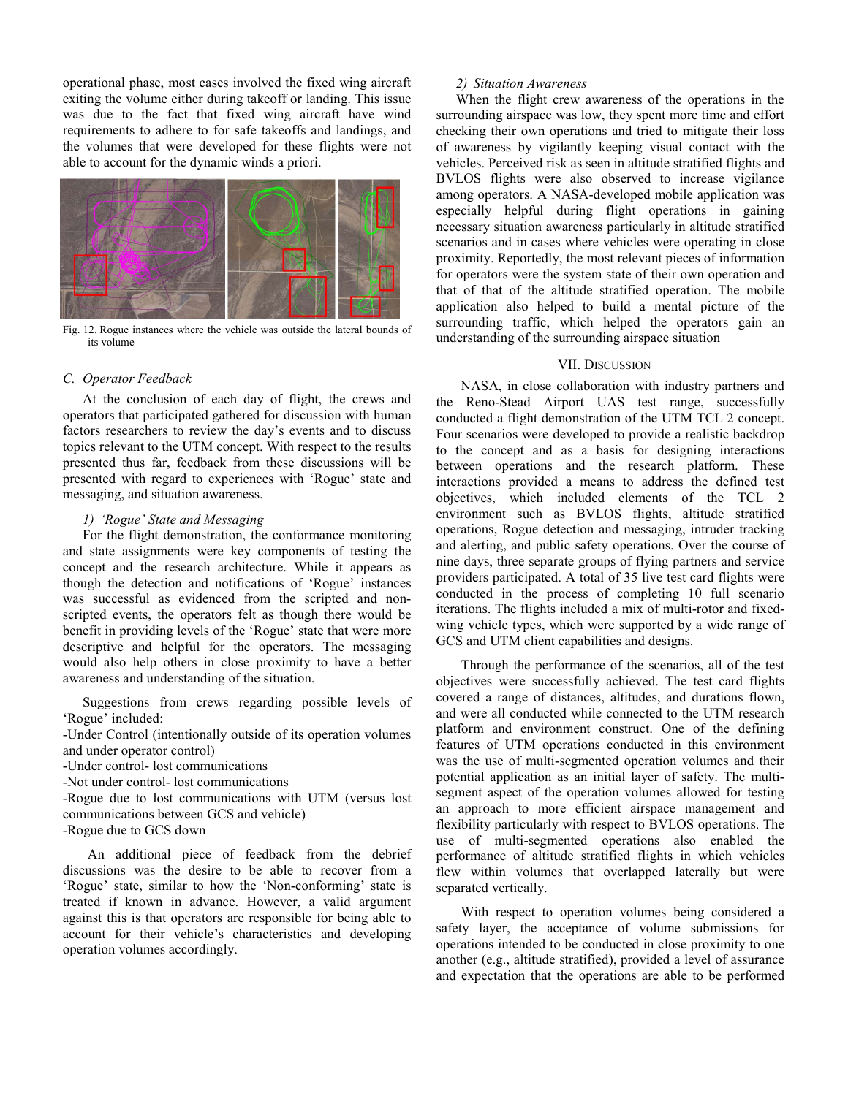operational phase, most cases involved the fixed wing aircraft exiting the volume either during takeoff or landing. This issue was due to the fact that fixed wing aircraft have wind requirements to adhere to for safe takeoffs and landings, and the volumes that were developed for these flights were not able to account for the dynamic winds a priori.



Fig. 12. Rogue instances where the vehicle was outside the lateral bounds of its volume

### *C. Operator Feedback*

At the conclusion of each day of flight, the crews and operators that participated gathered for discussion with human factors researchers to review the day's events and to discuss topics relevant to the UTM concept. With respect to the results presented thus far, feedback from these discussions will be presented with regard to experiences with 'Rogue' state and messaging, and situation awareness.

# *1) 'Rogue' State and Messaging*

For the flight demonstration, the conformance monitoring and state assignments were key components of testing the concept and the research architecture. While it appears as though the detection and notifications of 'Rogue' instances was successful as evidenced from the scripted and nonscripted events, the operators felt as though there would be benefit in providing levels of the 'Rogue' state that were more descriptive and helpful for the operators. The messaging would also help others in close proximity to have a better awareness and understanding of the situation.

Suggestions from crews regarding possible levels of 'Rogue' included:

-Under Control (intentionally outside of its operation volumes and under operator control)

-Under control- lost communications

-Not under control- lost communications

-Rogue due to lost communications with UTM (versus lost communications between GCS and vehicle)

-Rogue due to GCS down

An additional piece of feedback from the debrief discussions was the desire to be able to recover from a 'Rogue' state, similar to how the 'Non-conforming' state is treated if known in advance. However, a valid argument against this is that operators are responsible for being able to account for their vehicle's characteristics and developing operation volumes accordingly.

#### *2) Situation Awareness*

When the flight crew awareness of the operations in the surrounding airspace was low, they spent more time and effort checking their own operations and tried to mitigate their loss of awareness by vigilantly keeping visual contact with the vehicles. Perceived risk as seen in altitude stratified flights and BVLOS flights were also observed to increase vigilance among operators. A NASA-developed mobile application was especially helpful during flight operations in gaining necessary situation awareness particularly in altitude stratified scenarios and in cases where vehicles were operating in close proximity. Reportedly, the most relevant pieces of information for operators were the system state of their own operation and that of that of the altitude stratified operation. The mobile application also helped to build a mental picture of the surrounding traffic, which helped the operators gain an understanding of the surrounding airspace situation

# VII. DISCUSSION

NASA, in close collaboration with industry partners and the Reno-Stead Airport UAS test range, successfully conducted a flight demonstration of the UTM TCL 2 concept. Four scenarios were developed to provide a realistic backdrop to the concept and as a basis for designing interactions between operations and the research platform. These interactions provided a means to address the defined test objectives, which included elements of the TCL 2 environment such as BVLOS flights, altitude stratified operations, Rogue detection and messaging, intruder tracking and alerting, and public safety operations. Over the course of nine days, three separate groups of flying partners and service providers participated. A total of 35 live test card flights were conducted in the process of completing 10 full scenario iterations. The flights included a mix of multi-rotor and fixedwing vehicle types, which were supported by a wide range of GCS and UTM client capabilities and designs.

Through the performance of the scenarios, all of the test objectives were successfully achieved. The test card flights covered a range of distances, altitudes, and durations flown, and were all conducted while connected to the UTM research platform and environment construct. One of the defining features of UTM operations conducted in this environment was the use of multi-segmented operation volumes and their potential application as an initial layer of safety. The multisegment aspect of the operation volumes allowed for testing an approach to more efficient airspace management and flexibility particularly with respect to BVLOS operations. The use of multi-segmented operations also enabled the performance of altitude stratified flights in which vehicles flew within volumes that overlapped laterally but were separated vertically.

With respect to operation volumes being considered a safety layer, the acceptance of volume submissions for operations intended to be conducted in close proximity to one another (e.g., altitude stratified), provided a level of assurance and expectation that the operations are able to be performed